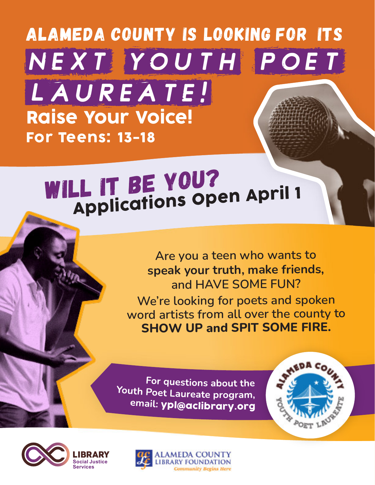## Alameda County is looking for its Raise Your Voice! For Teens: 13-18 NEXT YOUTH POET

### WILL IT BE YOU? **Applications Open April 1**

**Are you <sup>a</sup> teen who wants to speak your truth, make friends, and HAVE SOME FUN? We're looking for poets and spoken word artists from all over the county to SHOW UP and SPIT SOME FIRE.**

**POET** 

For questions about the Youth Poet Laureate program, email: ypl@aclibrary.org